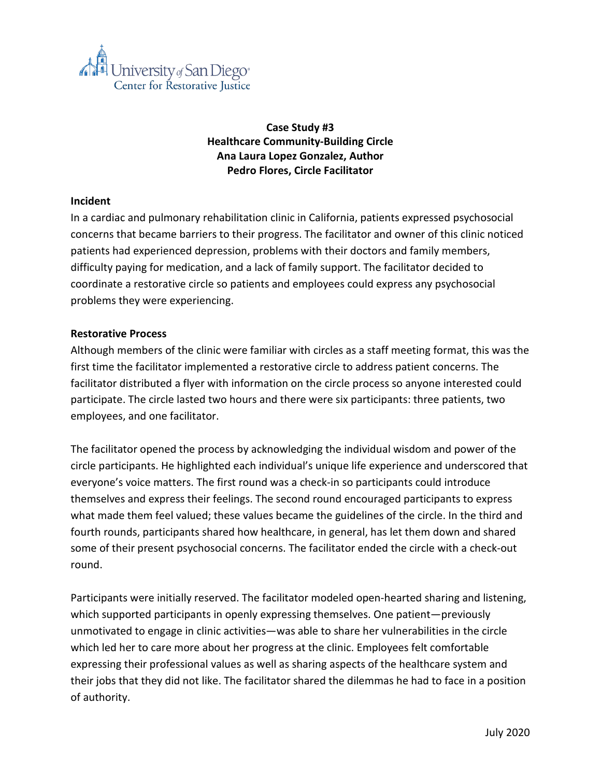

# **Case Study #3 Healthcare Community-Building Circle Ana Laura Lopez Gonzalez, Author Pedro Flores, Circle Facilitator**

## **Incident**

In a cardiac and pulmonary rehabilitation clinic in California, patients expressed psychosocial concerns that became barriers to their progress. The facilitator and owner of this clinic noticed patients had experienced depression, problems with their doctors and family members, difficulty paying for medication, and a lack of family support. The facilitator decided to coordinate a restorative circle so patients and employees could express any psychosocial problems they were experiencing.

#### **Restorative Process**

Although members of the clinic were familiar with circles as a staff meeting format, this was the first time the facilitator implemented a restorative circle to address patient concerns. The facilitator distributed a flyer with information on the circle process so anyone interested could participate. The circle lasted two hours and there were six participants: three patients, two employees, and one facilitator.

The facilitator opened the process by acknowledging the individual wisdom and power of the circle participants. He highlighted each individual's unique life experience and underscored that everyone's voice matters. The first round was a check-in so participants could introduce themselves and express their feelings. The second round encouraged participants to express what made them feel valued; these values became the guidelines of the circle. In the third and fourth rounds, participants shared how healthcare, in general, has let them down and shared some of their present psychosocial concerns. The facilitator ended the circle with a check-out round.

Participants were initially reserved. The facilitator modeled open-hearted sharing and listening, which supported participants in openly expressing themselves. One patient—previously unmotivated to engage in clinic activities—was able to share her vulnerabilities in the circle which led her to care more about her progress at the clinic. Employees felt comfortable expressing their professional values as well as sharing aspects of the healthcare system and their jobs that they did not like. The facilitator shared the dilemmas he had to face in a position of authority.